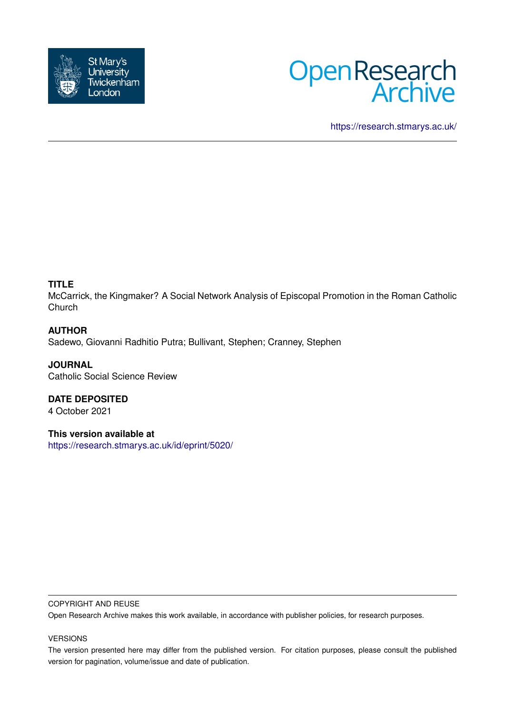



<https://research.stmarys.ac.uk/>

# **TITLE**

McCarrick, the Kingmaker? A Social Network Analysis of Episcopal Promotion in the Roman Catholic Church

# **AUTHOR**

Sadewo, Giovanni Radhitio Putra; Bullivant, Stephen; Cranney, Stephen

**JOURNAL** Catholic Social Science Review

**DATE DEPOSITED** 4 October 2021

**This version available at** <https://research.stmarys.ac.uk/id/eprint/5020/>

#### COPYRIGHT AND REUSE

Open Research Archive makes this work available, in accordance with publisher policies, for research purposes.

#### VERSIONS

The version presented here may differ from the published version. For citation purposes, please consult the published version for pagination, volume/issue and date of publication.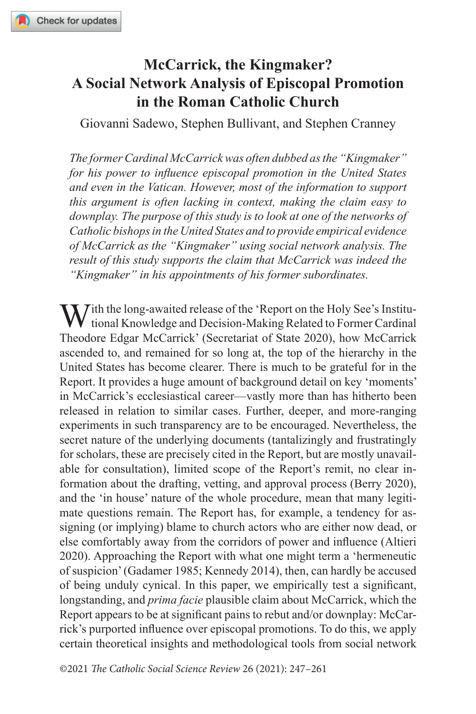# **McCarrick, the Kingmaker? A Social Network Analysis of Episcopal Promotion in the Roman Catholic Church**

Giovanni Sadewo, Stephen Bullivant, and Stephen Cranney

*The former Cardinal McCarrick was often dubbed as the "Kingmaker" for his power to influence episcopal promotion in the United States and even in the Vatican. However, most of the information to support this argument is often lacking in context, making the claim easy to downplay. The purpose of this study is to look at one of the networks of Catholic bishops in the United States and to provide empirical evidence of McCarrick as the "Kingmaker" using social network analysis. The result of this study supports the claim that McCarrick was indeed the "Kingmaker" in his appointments of his former subordinates.*

 $\sum$  *T*ith the long-awaited release of the 'Report on the Holy See's Institutional Knowledge and Decision-Making Related to Former Cardinal Theodore Edgar McCarrick' (Secretariat of State 2020), how McCarrick ascended to, and remained for so long at, the top of the hierarchy in the United States has become clearer. There is much to be grateful for in the Report. It provides a huge amount of background detail on key 'moments' in McCarrick's ecclesiastical career—vastly more than has hitherto been released in relation to similar cases. Further, deeper, and more-ranging experiments in such transparency are to be encouraged. Nevertheless, the secret nature of the underlying documents (tantalizingly and frustratingly for scholars, these are precisely cited in the Report, but are mostly unavailable for consultation), limited scope of the Report's remit, no clear information about the drafting, vetting, and approval process (Berry 2020), and the 'in house' nature of the whole procedure, mean that many legitimate questions remain. The Report has, for example, a tendency for assigning (or implying) blame to church actors who are either now dead, or else comfortably away from the corridors of power and influence (Altieri 2020). Approaching the Report with what one might term a 'hermeneutic of suspicion' (Gadamer 1985; Kennedy 2014), then, can hardly be accused of being unduly cynical. In this paper, we empirically test a significant, longstanding, and *prima facie* plausible claim about McCarrick, which the Report appears to be at significant pains to rebut and/or downplay: McCarrick's purported influence over episcopal promotions. To do this, we apply certain theoretical insights and methodological tools from social network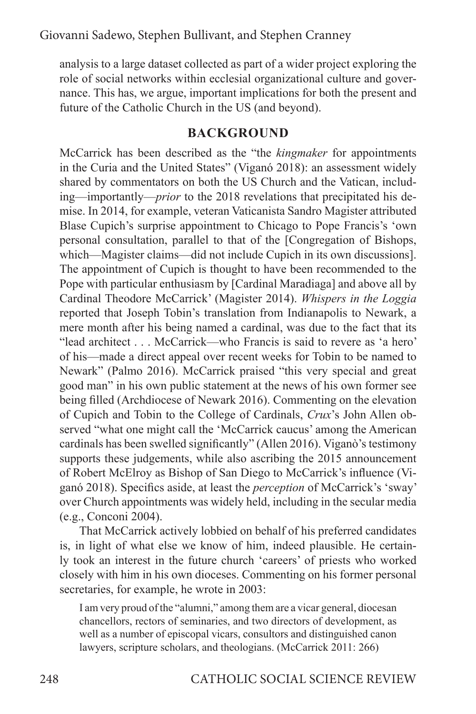analysis to a large dataset collected as part of a wider project exploring the role of social networks within ecclesial organizational culture and governance. This has, we argue, important implications for both the present and future of the Catholic Church in the US (and beyond).

# **BACKGROUND**

McCarrick has been described as the "the *kingmaker* for appointments in the Curia and the United States" (Viganó 2018): an assessment widely shared by commentators on both the US Church and the Vatican, including—importantly—*prior* to the 2018 revelations that precipitated his demise. In 2014, for example, veteran Vaticanista Sandro Magister attributed Blase Cupich's surprise appointment to Chicago to Pope Francis's 'own personal consultation, parallel to that of the [Congregation of Bishops, which—Magister claims—did not include Cupich in its own discussions]. The appointment of Cupich is thought to have been recommended to the Pope with particular enthusiasm by [Cardinal Maradiaga] and above all by Cardinal Theodore McCarrick' (Magister 2014). *Whispers in the Loggia* reported that Joseph Tobin's translation from Indianapolis to Newark, a mere month after his being named a cardinal, was due to the fact that its "lead architect . . . McCarrick—who Francis is said to revere as 'a hero' of his—made a direct appeal over recent weeks for Tobin to be named to Newark" (Palmo 2016). McCarrick praised "this very special and great good man" in his own public statement at the news of his own former see being filled (Archdiocese of Newark 2016). Commenting on the elevation of Cupich and Tobin to the College of Cardinals, *Crux*'s John Allen observed "what one might call the 'McCarrick caucus' among the American cardinals has been swelled significantly" (Allen 2016). Viganò's testimony supports these judgements, while also ascribing the 2015 announcement of Robert McElroy as Bishop of San Diego to McCarrick's influence (Viganó 2018). Specifics aside, at least the *perception* of McCarrick's 'sway' over Church appointments was widely held, including in the secular media (e.g., Conconi 2004).

That McCarrick actively lobbied on behalf of his preferred candidates is, in light of what else we know of him, indeed plausible. He certainly took an interest in the future church 'careers' of priests who worked closely with him in his own dioceses. Commenting on his former personal secretaries, for example, he wrote in 2003:

I am very proud of the "alumni," among them are a vicar general, diocesan chancellors, rectors of seminaries, and two directors of development, as well as a number of episcopal vicars, consultors and distinguished canon lawyers, scripture scholars, and theologians. (McCarrick 2011: 266)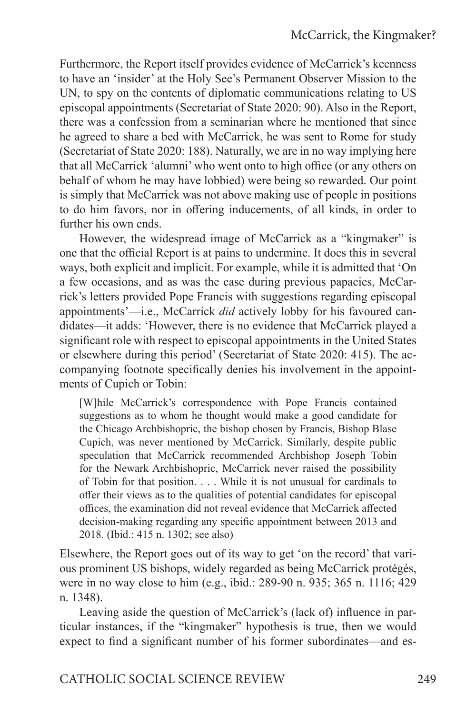Furthermore, the Report itself provides evidence of McCarrick's keenness to have an 'insider' at the Holy See's Permanent Observer Mission to the UN, to spy on the contents of diplomatic communications relating to US episcopal appointments (Secretariat of State 2020: 90). Also in the Report, there was a confession from a seminarian where he mentioned that since he agreed to share a bed with McCarrick, he was sent to Rome for study (Secretariat of State 2020: 188). Naturally, we are in no way implying here that all McCarrick 'alumni' who went onto to high office (or any others on behalf of whom he may have lobbied) were being so rewarded. Our point is simply that McCarrick was not above making use of people in positions to do him favors, nor in offering inducements, of all kinds, in order to further his own ends.

However, the widespread image of McCarrick as a "kingmaker" is one that the official Report is at pains to undermine. It does this in several ways, both explicit and implicit. For example, while it is admitted that 'On a few occasions, and as was the case during previous papacies, McCarrick's letters provided Pope Francis with suggestions regarding episcopal appointments'—i.e., McCarrick *did* actively lobby for his favoured candidates—it adds: 'However, there is no evidence that McCarrick played a significant role with respect to episcopal appointments in the United States or elsewhere during this period' (Secretariat of State 2020: 415). The accompanying footnote specifically denies his involvement in the appointments of Cupich or Tobin:

[W]hile McCarrick's correspondence with Pope Francis contained suggestions as to whom he thought would make a good candidate for the Chicago Archbishopric, the bishop chosen by Francis, Bishop Blase Cupich, was never mentioned by McCarrick. Similarly, despite public speculation that McCarrick recommended Archbishop Joseph Tobin for the Newark Archbishopric, McCarrick never raised the possibility of Tobin for that position. . . . While it is not unusual for cardinals to offer their views as to the qualities of potential candidates for episcopal offices, the examination did not reveal evidence that McCarrick affected decision-making regarding any specific appointment between 2013 and 2018. (Ibid.: 415 n. 1302; see also)

Elsewhere, the Report goes out of its way to get 'on the record' that various prominent US bishops, widely regarded as being McCarrick protégés, were in no way close to him (e.g., ibid.: 289-90 n. 935; 365 n. 1116; 429 n. 1348).

Leaving aside the question of McCarrick's (lack of) influence in particular instances, if the "kingmaker" hypothesis is true, then we would expect to find a significant number of his former subordinates—and es-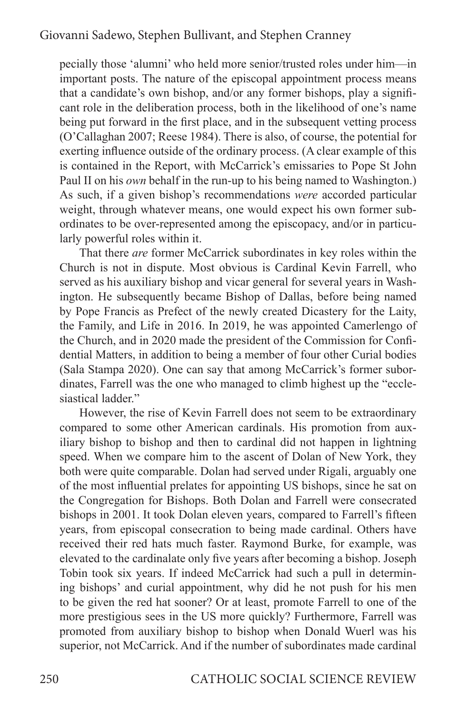pecially those 'alumni' who held more senior/trusted roles under him—in important posts. The nature of the episcopal appointment process means that a candidate's own bishop, and/or any former bishops, play a significant role in the deliberation process, both in the likelihood of one's name being put forward in the first place, and in the subsequent vetting process (O'Callaghan 2007; Reese 1984). There is also, of course, the potential for exerting influence outside of the ordinary process. (A clear example of this is contained in the Report, with McCarrick's emissaries to Pope St John Paul II on his *own* behalf in the run-up to his being named to Washington.) As such, if a given bishop's recommendations *were* accorded particular weight, through whatever means, one would expect his own former subordinates to be over-represented among the episcopacy, and/or in particularly powerful roles within it.

That there *are* former McCarrick subordinates in key roles within the Church is not in dispute. Most obvious is Cardinal Kevin Farrell, who served as his auxiliary bishop and vicar general for several years in Washington. He subsequently became Bishop of Dallas, before being named by Pope Francis as Prefect of the newly created Dicastery for the Laity, the Family, and Life in 2016. In 2019, he was appointed Camerlengo of the Church, and in 2020 made the president of the Commission for Confidential Matters, in addition to being a member of four other Curial bodies (Sala Stampa 2020). One can say that among McCarrick's former subordinates, Farrell was the one who managed to climb highest up the "ecclesiastical ladder."

However, the rise of Kevin Farrell does not seem to be extraordinary compared to some other American cardinals. His promotion from auxiliary bishop to bishop and then to cardinal did not happen in lightning speed. When we compare him to the ascent of Dolan of New York, they both were quite comparable. Dolan had served under Rigali, arguably one of the most influential prelates for appointing US bishops, since he sat on the Congregation for Bishops. Both Dolan and Farrell were consecrated bishops in 2001. It took Dolan eleven years, compared to Farrell's fifteen years, from episcopal consecration to being made cardinal. Others have received their red hats much faster. Raymond Burke, for example, was elevated to the cardinalate only five years after becoming a bishop. Joseph Tobin took six years. If indeed McCarrick had such a pull in determining bishops' and curial appointment, why did he not push for his men to be given the red hat sooner? Or at least, promote Farrell to one of the more prestigious sees in the US more quickly? Furthermore, Farrell was promoted from auxiliary bishop to bishop when Donald Wuerl was his superior, not McCarrick. And if the number of subordinates made cardinal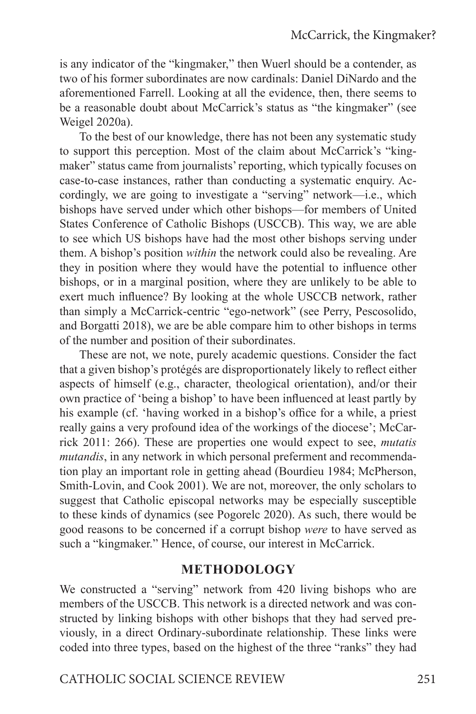is any indicator of the "kingmaker," then Wuerl should be a contender, as two of his former subordinates are now cardinals: Daniel DiNardo and the aforementioned Farrell. Looking at all the evidence, then, there seems to be a reasonable doubt about McCarrick's status as "the kingmaker" (see Weigel 2020a).

To the best of our knowledge, there has not been any systematic study to support this perception. Most of the claim about McCarrick's "kingmaker" status came from journalists' reporting, which typically focuses on case-to-case instances, rather than conducting a systematic enquiry. Accordingly, we are going to investigate a "serving" network—i.e., which bishops have served under which other bishops—for members of United States Conference of Catholic Bishops (USCCB). This way, we are able to see which US bishops have had the most other bishops serving under them. A bishop's position *within* the network could also be revealing. Are they in position where they would have the potential to influence other bishops, or in a marginal position, where they are unlikely to be able to exert much influence? By looking at the whole USCCB network, rather than simply a McCarrick-centric "ego-network" (see Perry, Pescosolido, and Borgatti 2018), we are be able compare him to other bishops in terms of the number and position of their subordinates.

These are not, we note, purely academic questions. Consider the fact that a given bishop's protégés are disproportionately likely to reflect either aspects of himself (e.g., character, theological orientation), and/or their own practice of 'being a bishop' to have been influenced at least partly by his example (cf. 'having worked in a bishop's office for a while, a priest really gains a very profound idea of the workings of the diocese'; McCarrick 2011: 266). These are properties one would expect to see, *mutatis mutandis*, in any network in which personal preferment and recommendation play an important role in getting ahead (Bourdieu 1984; McPherson, Smith-Lovin, and Cook 2001). We are not, moreover, the only scholars to suggest that Catholic episcopal networks may be especially susceptible to these kinds of dynamics (see Pogorelc 2020). As such, there would be good reasons to be concerned if a corrupt bishop *were* to have served as such a "kingmaker." Hence, of course, our interest in McCarrick.

## **METHODOLOGY**

We constructed a "serving" network from 420 living bishops who are members of the USCCB. This network is a directed network and was constructed by linking bishops with other bishops that they had served previously, in a direct Ordinary-subordinate relationship. These links were coded into three types, based on the highest of the three "ranks" they had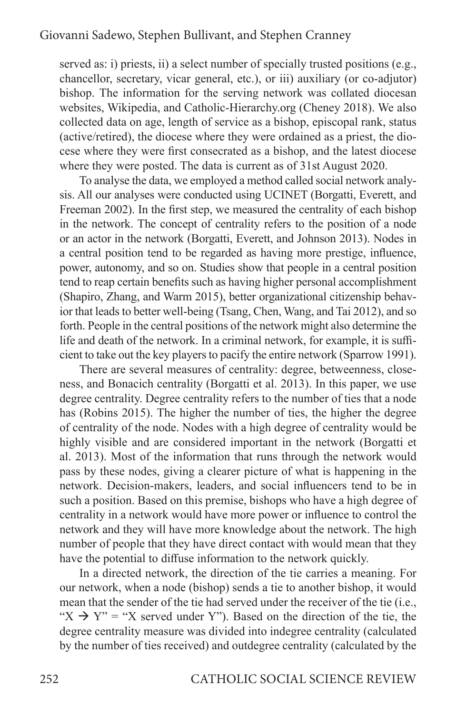served as: i) priests, ii) a select number of specially trusted positions (e.g., chancellor, secretary, vicar general, etc.), or iii) auxiliary (or co-adjutor) bishop. The information for the serving network was collated diocesan websites, Wikipedia, and Catholic-Hierarchy.org (Cheney 2018). We also collected data on age, length of service as a bishop, episcopal rank, status (active/retired), the diocese where they were ordained as a priest, the diocese where they were first consecrated as a bishop, and the latest diocese where they were posted. The data is current as of 31st August 2020.

To analyse the data, we employed a method called social network analysis. All our analyses were conducted using UCINET (Borgatti, Everett, and Freeman 2002). In the first step, we measured the centrality of each bishop in the network. The concept of centrality refers to the position of a node or an actor in the network (Borgatti, Everett, and Johnson 2013). Nodes in a central position tend to be regarded as having more prestige, influence, power, autonomy, and so on. Studies show that people in a central position tend to reap certain benefits such as having higher personal accomplishment (Shapiro, Zhang, and Warm 2015), better organizational citizenship behavior that leads to better well-being (Tsang, Chen, Wang, and Tai 2012), and so forth. People in the central positions of the network might also determine the life and death of the network. In a criminal network, for example, it is sufficient to take out the key players to pacify the entire network (Sparrow 1991).

There are several measures of centrality: degree, betweenness, closeness, and Bonacich centrality (Borgatti et al. 2013). In this paper, we use degree centrality. Degree centrality refers to the number of ties that a node has (Robins 2015). The higher the number of ties, the higher the degree of centrality of the node. Nodes with a high degree of centrality would be highly visible and are considered important in the network (Borgatti et al. 2013). Most of the information that runs through the network would pass by these nodes, giving a clearer picture of what is happening in the network. Decision-makers, leaders, and social influencers tend to be in such a position. Based on this premise, bishops who have a high degree of centrality in a network would have more power or influence to control the network and they will have more knowledge about the network. The high number of people that they have direct contact with would mean that they have the potential to diffuse information to the network quickly.

In a directed network, the direction of the tie carries a meaning. For our network, when a node (bishop) sends a tie to another bishop, it would mean that the sender of the tie had served under the receiver of the tie (i.e., " $X \rightarrow Y$ " = "X served under Y"). Based on the direction of the tie, the degree centrality measure was divided into indegree centrality (calculated by the number of ties received) and outdegree centrality (calculated by the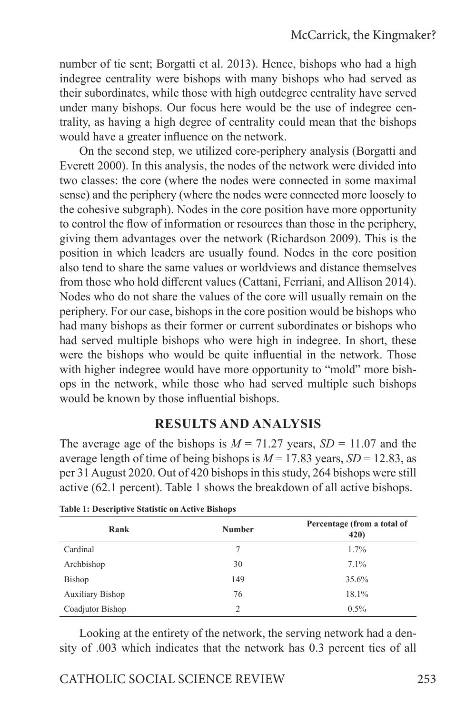number of tie sent; Borgatti et al. 2013). Hence, bishops who had a high indegree centrality were bishops with many bishops who had served as their subordinates, while those with high outdegree centrality have served under many bishops. Our focus here would be the use of indegree centrality, as having a high degree of centrality could mean that the bishops would have a greater influence on the network.

On the second step, we utilized core-periphery analysis (Borgatti and Everett 2000). In this analysis, the nodes of the network were divided into two classes: the core (where the nodes were connected in some maximal sense) and the periphery (where the nodes were connected more loosely to the cohesive subgraph). Nodes in the core position have more opportunity to control the flow of information or resources than those in the periphery, giving them advantages over the network (Richardson 2009). This is the position in which leaders are usually found. Nodes in the core position also tend to share the same values or worldviews and distance themselves from those who hold different values (Cattani, Ferriani, and Allison 2014). Nodes who do not share the values of the core will usually remain on the periphery. For our case, bishops in the core position would be bishops who had many bishops as their former or current subordinates or bishops who had served multiple bishops who were high in indegree. In short, these were the bishops who would be quite influential in the network. Those with higher indegree would have more opportunity to "mold" more bishops in the network, while those who had served multiple such bishops would be known by those influential bishops.

# **RESULTS AND ANALYSIS**

The average age of the bishops is  $M = 71.27$  years,  $SD = 11.07$  and the average length of time of being bishops is  $M = 17.83$  years,  $SD = 12.83$ , as per 31 August 2020. Out of 420 bishops in this study, 264 bishops were still active (62.1 percent). Table 1 shows the breakdown of all active bishops.

| Rank                    | <b>Number</b> | Percentage (from a total of<br>420) |
|-------------------------|---------------|-------------------------------------|
| Cardinal                |               | $1.7\%$                             |
| Archbishop              | 30            | $7.1\%$                             |
| Bishop                  | 149           | 35.6%                               |
| <b>Auxiliary Bishop</b> | 76            | 18.1%                               |
| Coadjutor Bishop        | $\mathcal{L}$ | $0.5\%$                             |

**Table 1: Descriptive Statistic on Active Bishops**

Looking at the entirety of the network, the serving network had a density of .003 which indicates that the network has 0.3 percent ties of all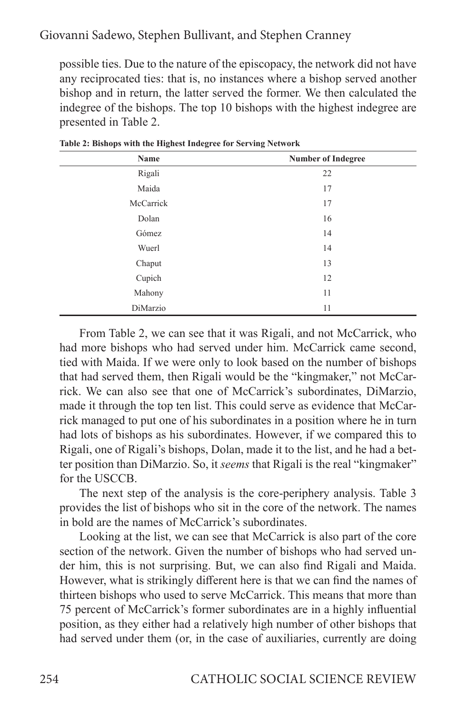possible ties. Due to the nature of the episcopacy, the network did not have any reciprocated ties: that is, no instances where a bishop served another bishop and in return, the latter served the former. We then calculated the indegree of the bishops. The top 10 bishops with the highest indegree are presented in Table 2.

| Name      | <b>Number of Indegree</b> |
|-----------|---------------------------|
| Rigali    | 22                        |
| Maida     | 17                        |
| McCarrick | 17                        |
| Dolan     | 16                        |
| Gómez     | 14                        |
| Wuerl     | 14                        |
| Chaput    | 13                        |
| Cupich    | 12                        |
| Mahony    | 11                        |
| DiMarzio  | 11                        |

**Table 2: Bishops with the Highest Indegree for Serving Network**

From Table 2, we can see that it was Rigali, and not McCarrick, who had more bishops who had served under him. McCarrick came second, tied with Maida. If we were only to look based on the number of bishops that had served them, then Rigali would be the "kingmaker," not McCarrick. We can also see that one of McCarrick's subordinates, DiMarzio, made it through the top ten list. This could serve as evidence that McCarrick managed to put one of his subordinates in a position where he in turn had lots of bishops as his subordinates. However, if we compared this to Rigali, one of Rigali's bishops, Dolan, made it to the list, and he had a better position than DiMarzio. So, it *seems* that Rigali is the real "kingmaker" for the USCCB.

The next step of the analysis is the core-periphery analysis. Table 3 provides the list of bishops who sit in the core of the network. The names in bold are the names of McCarrick's subordinates.

Looking at the list, we can see that McCarrick is also part of the core section of the network. Given the number of bishops who had served under him, this is not surprising. But, we can also find Rigali and Maida. However, what is strikingly different here is that we can find the names of thirteen bishops who used to serve McCarrick. This means that more than 75 percent of McCarrick's former subordinates are in a highly influential position, as they either had a relatively high number of other bishops that had served under them (or, in the case of auxiliaries, currently are doing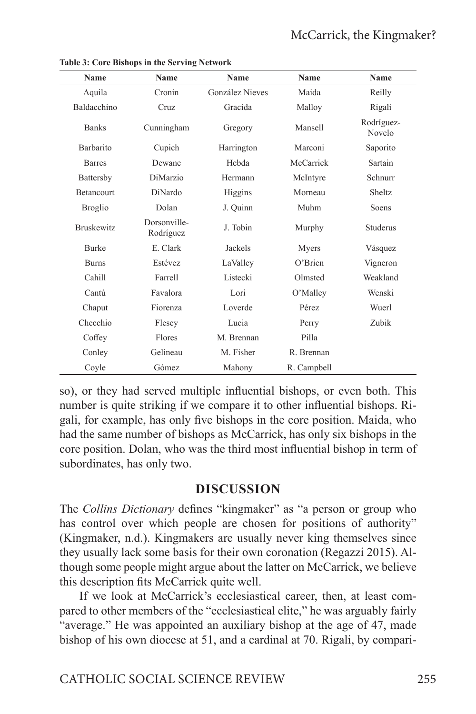| <b>Name</b>       | Name                      | Name                   | Name        | Name                 |
|-------------------|---------------------------|------------------------|-------------|----------------------|
| Aquila            | Cronin                    | <b>González Nieves</b> | Maida       | Reilly               |
| Baldacchino       | Cruz                      | Gracida                | Malloy      | Rigali               |
| <b>Banks</b>      | Cunningham                | Gregory                | Mansell     | Rodríguez-<br>Novelo |
| <b>Barbarito</b>  | Cupich                    | Harrington             | Marconi     | Saporito             |
| <b>Barres</b>     | Dewane                    | Hebda                  | McCarrick   | Sartain              |
| Battersby         | DiMarzio                  | Hermann                | McIntyre    | Schnurr              |
| <b>Betancourt</b> | DiNardo                   | Higgins                | Morneau     | Sheltz               |
| <b>Broglio</b>    | Dolan                     | J. Quinn               | Muhm        | Soens                |
| <b>Bruskewitz</b> | Dorsonville-<br>Rodríguez | J. Tobin               | Murphy      | Studerus             |
| <b>Burke</b>      | E. Clark                  | Jackels                | Myers       | Vásquez              |
| <b>Burns</b>      | Estévez                   | LaValley               | O'Brien     | Vigneron             |
| Cahill            | Farrell                   | Listecki               | Olmsted     | Weakland             |
| Cantú             | Favalora                  | Lori                   | O'Malley    | Wenski               |
| Chaput            | Fiorenza                  | Loverde                | Pérez       | Wuerl                |
| Checchio          | Flesey                    | Lucia                  | Perry       | Zubik                |
| Coffey            | Flores                    | M. Brennan             | Pilla       |                      |
| Conley            | Gelineau                  | M. Fisher              | R. Brennan  |                      |
| Coyle             | Gómez                     | Mahony                 | R. Campbell |                      |

**Table 3: Core Bishops in the Serving Network**

so), or they had served multiple influential bishops, or even both. This number is quite striking if we compare it to other influential bishops. Rigali, for example, has only five bishops in the core position. Maida, who had the same number of bishops as McCarrick, has only six bishops in the core position. Dolan, who was the third most influential bishop in term of subordinates, has only two.

## **DISCUSSION**

The *Collins Dictionary* defines "kingmaker" as "a person or group who has control over which people are chosen for positions of authority" (Kingmaker, n.d.). Kingmakers are usually never king themselves since they usually lack some basis for their own coronation (Regazzi 2015). Although some people might argue about the latter on McCarrick, we believe this description fits McCarrick quite well.

If we look at McCarrick's ecclesiastical career, then, at least compared to other members of the "ecclesiastical elite," he was arguably fairly "average." He was appointed an auxiliary bishop at the age of 47, made bishop of his own diocese at 51, and a cardinal at 70. Rigali, by compari-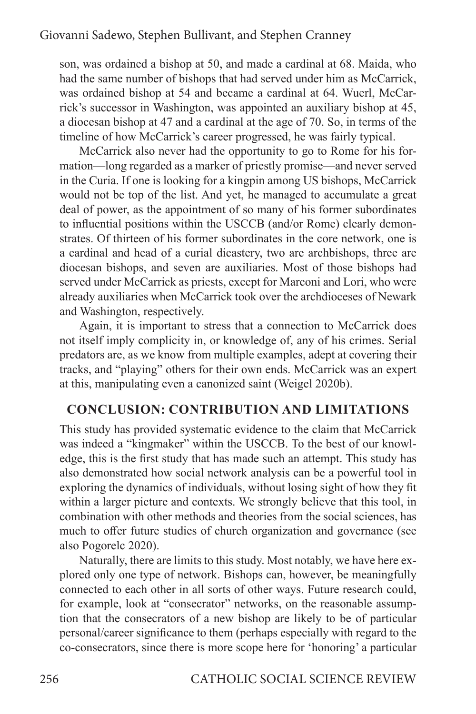son, was ordained a bishop at 50, and made a cardinal at 68. Maida, who had the same number of bishops that had served under him as McCarrick, was ordained bishop at 54 and became a cardinal at 64. Wuerl, McCarrick's successor in Washington, was appointed an auxiliary bishop at 45, a diocesan bishop at 47 and a cardinal at the age of 70. So, in terms of the timeline of how McCarrick's career progressed, he was fairly typical.

McCarrick also never had the opportunity to go to Rome for his formation—long regarded as a marker of priestly promise—and never served in the Curia. If one is looking for a kingpin among US bishops, McCarrick would not be top of the list. And yet, he managed to accumulate a great deal of power, as the appointment of so many of his former subordinates to influential positions within the USCCB (and/or Rome) clearly demonstrates. Of thirteen of his former subordinates in the core network, one is a cardinal and head of a curial dicastery, two are archbishops, three are diocesan bishops, and seven are auxiliaries. Most of those bishops had served under McCarrick as priests, except for Marconi and Lori, who were already auxiliaries when McCarrick took over the archdioceses of Newark and Washington, respectively.

Again, it is important to stress that a connection to McCarrick does not itself imply complicity in, or knowledge of, any of his crimes. Serial predators are, as we know from multiple examples, adept at covering their tracks, and "playing" others for their own ends. McCarrick was an expert at this, manipulating even a canonized saint (Weigel 2020b).

## **CONCLUSION: CONTRIBUTION AND LIMITATIONS**

This study has provided systematic evidence to the claim that McCarrick was indeed a "kingmaker" within the USCCB. To the best of our knowledge, this is the first study that has made such an attempt. This study has also demonstrated how social network analysis can be a powerful tool in exploring the dynamics of individuals, without losing sight of how they fit within a larger picture and contexts. We strongly believe that this tool, in combination with other methods and theories from the social sciences, has much to offer future studies of church organization and governance (see also Pogorelc 2020).

Naturally, there are limits to this study. Most notably, we have here explored only one type of network. Bishops can, however, be meaningfully connected to each other in all sorts of other ways. Future research could, for example, look at "consecrator" networks, on the reasonable assumption that the consecrators of a new bishop are likely to be of particular personal/career significance to them (perhaps especially with regard to the co-consecrators, since there is more scope here for 'honoring' a particular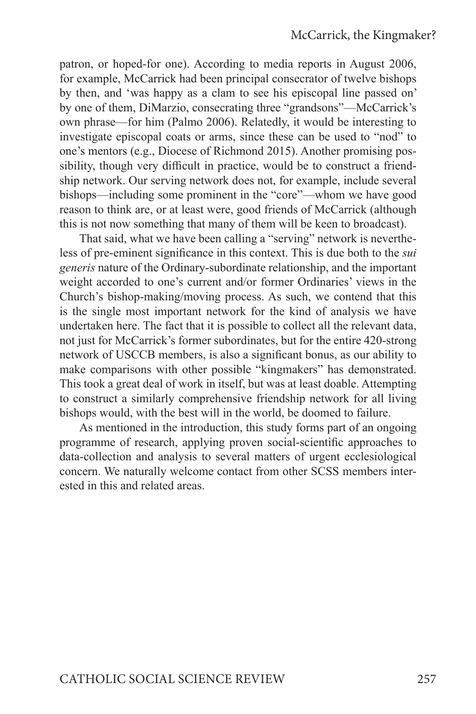patron, or hoped-for one). According to media reports in August 2006, for example, McCarrick had been principal consecrator of twelve bishops by then, and 'was happy as a clam to see his episcopal line passed on' by one of them, DiMarzio, consecrating three "grandsons"—McCarrick's own phrase—for him (Palmo 2006). Relatedly, it would be interesting to investigate episcopal coats or arms, since these can be used to "nod" to one's mentors (e.g., Diocese of Richmond 2015). Another promising possibility, though very difficult in practice, would be to construct a friendship network. Our serving network does not, for example, include several bishops—including some prominent in the "core"—whom we have good reason to think are, or at least were, good friends of McCarrick (although this is not now something that many of them will be keen to broadcast).

That said, what we have been calling a "serving" network is nevertheless of pre-eminent significance in this context. This is due both to the *sui generis* nature of the Ordinary-subordinate relationship, and the important weight accorded to one's current and/or former Ordinaries' views in the Church's bishop-making/moving process. As such, we contend that this is the single most important network for the kind of analysis we have undertaken here. The fact that it is possible to collect all the relevant data, not just for McCarrick's former subordinates, but for the entire 420-strong network of USCCB members, is also a significant bonus, as our ability to make comparisons with other possible "kingmakers" has demonstrated. This took a great deal of work in itself, but was at least doable. Attempting to construct a similarly comprehensive friendship network for all living bishops would, with the best will in the world, be doomed to failure.

As mentioned in the introduction, this study forms part of an ongoing programme of research, applying proven social-scientific approaches to data-collection and analysis to several matters of urgent ecclesiological concern. We naturally welcome contact from other SCSS members interested in this and related areas.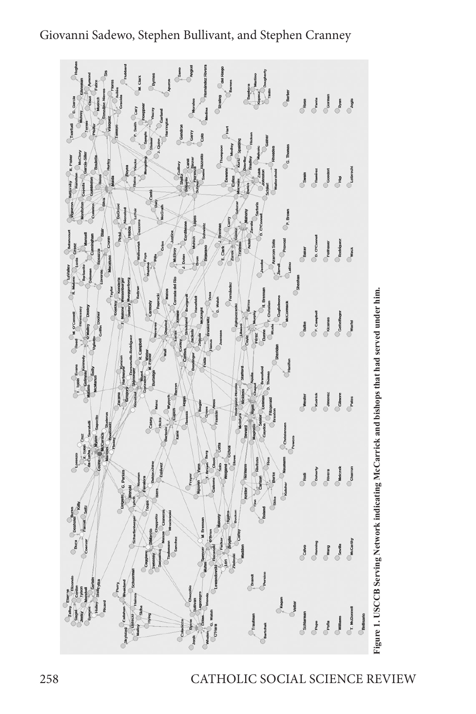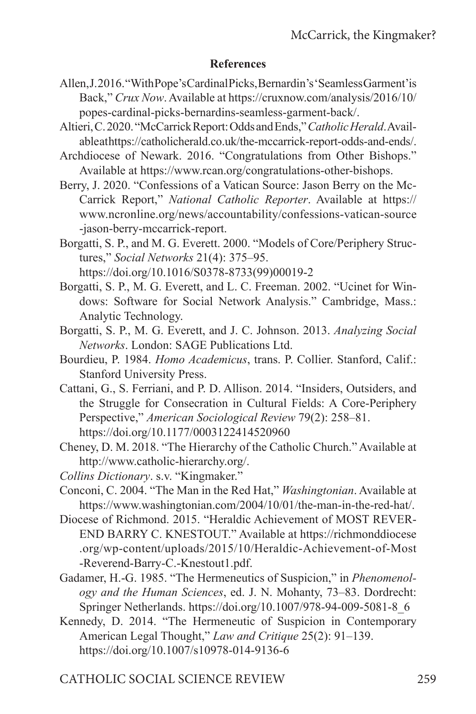## **References**

- Allen, J. 2016. "With Pope's Cardinal Picks, Bernardin's 'Seamless Garment' is Back," *Crux Now*. Available at https://cruxnow.com/analysis/2016/10/ popes-cardinal-picks-bernardins-seamless-garment-back/.
- Altieri, C. 2020. "McCarrick Report: Odds and Ends," *Catholic Herald*. Available at https://catholicherald.co.uk/the-mccarrick-report-odds-and-ends/.
- Archdiocese of Newark. 2016. "Congratulations from Other Bishops." Available at https://www.rcan.org/congratulations-other-bishops.
- Berry, J. 2020. "Confessions of a Vatican Source: Jason Berry on the Mc-Carrick Report," *National Catholic Reporter*. Available at https:// www.ncronline.org/news/accountability/confessions-vatican-source -jason-berry-mccarrick-report.
- Borgatti, S. P., and M. G. Everett. 2000. "Models of Core/Periphery Structures," *Social Networks* 21(4): 375–95. https://doi.org/10.1016/S0378-8733(99)00019-2
- Borgatti, S. P., M. G. Everett, and L. C. Freeman. 2002. "Ucinet for Windows: Software for Social Network Analysis." Cambridge, Mass.: Analytic Technology.
- Borgatti, S. P., M. G. Everett, and J. C. Johnson. 2013. *Analyzing Social Networks*. London: SAGE Publications Ltd.
- Bourdieu, P. 1984. *Homo Academicus*, trans. P. Collier. Stanford, Calif.: Stanford University Press.
- Cattani, G., S. Ferriani, and P. D. Allison. 2014. "Insiders, Outsiders, and the Struggle for Consecration in Cultural Fields: A Core-Periphery Perspective," *American Sociological Review* 79(2): 258–81. https://doi.org/10.1177/0003122414520960
- Cheney, D. M. 2018. "The Hierarchy of the Catholic Church." Available at http://www.catholic-hierarchy.org/.
- *Collins Dictionary*. s.v. "Kingmaker."
- Conconi, C. 2004. "The Man in the Red Hat," *Washingtonian*. Available at https://www.washingtonian.com/2004/10/01/the-man-in-the-red-hat/.
- Diocese of Richmond. 2015. "Heraldic Achievement of MOST REVER-END BARRY C. KNESTOUT." Available at https://richmonddiocese .org/wp-content/uploads/2015/10/Heraldic-Achievement-of-Most -Reverend-Barry-C.-Knestout1.pdf.
- Gadamer, H.-G. 1985. "The Hermeneutics of Suspicion," in *Phenomenology and the Human Sciences*, ed. J. N. Mohanty, 73–83. Dordrecht: Springer Netherlands. https://doi.org/10.1007/978-94-009-5081-8\_6
- Kennedy, D. 2014. "The Hermeneutic of Suspicion in Contemporary American Legal Thought," *Law and Critique* 25(2): 91–139. https://doi.org/10.1007/s10978-014-9136-6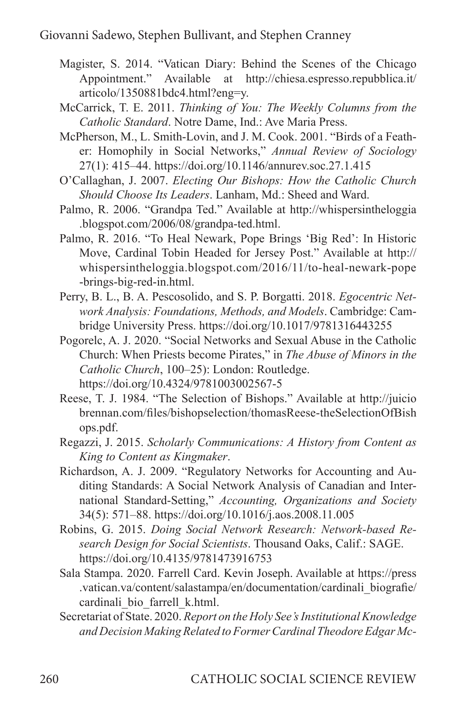- Magister, S. 2014. "Vatican Diary: Behind the Scenes of the Chicago Appointment." Available at http://chiesa.espresso.repubblica.it/ articolo/1350881bdc4.html?eng=y.
- McCarrick, T. E. 2011. *Thinking of You: The Weekly Columns from the Catholic Standard*. Notre Dame, Ind.: Ave Maria Press.
- McPherson, M., L. Smith-Lovin, and J. M. Cook. 2001. "Birds of a Feather: Homophily in Social Networks," *Annual Review of Sociology* 27(1): 415–44. https://doi.org/10.1146/annurev.soc.27.1.415
- O'Callaghan, J. 2007. *Electing Our Bishops: How the Catholic Church Should Choose Its Leaders*. Lanham, Md.: Sheed and Ward.
- Palmo, R. 2006. "Grandpa Ted." Available at http://whispersintheloggia .blogspot.com/2006/08/grandpa-ted.html.
- Palmo, R. 2016. "To Heal Newark, Pope Brings 'Big Red': In Historic Move, Cardinal Tobin Headed for Jersey Post." Available at http:// whispersintheloggia.blogspot.com/2016/11/to-heal-newark-pope -brings-big-red-in.html.
- Perry, B. L., B. A. Pescosolido, and S. P. Borgatti. 2018. *Egocentric Network Analysis: Foundations, Methods, and Models*. Cambridge: Cambridge University Press. https://doi.org/10.1017/9781316443255
- Pogorelc, A. J. 2020. "Social Networks and Sexual Abuse in the Catholic Church: When Priests become Pirates," in *The Abuse of Minors in the Catholic Church*, 100–25): London: Routledge. https://doi.org/10.4324/9781003002567-5
- Reese, T. J. 1984. "The Selection of Bishops." Available at http://juicio brennan.com/files/bishopselection/thomasReese-theSelectionOfBish ops.pdf.
- Regazzi, J. 2015. *Scholarly Communications: A History from Content as King to Content as Kingmaker*.
- Richardson, A. J. 2009. "Regulatory Networks for Accounting and Auditing Standards: A Social Network Analysis of Canadian and International Standard-Setting," *Accounting, Organizations and Society* 34(5): 571–88. https://doi.org/10.1016/j.aos.2008.11.005
- Robins, G. 2015. *Doing Social Network Research: Network-based Research Design for Social Scientists*. Thousand Oaks, Calif.: SAGE. https://doi.org/10.4135/9781473916753
- Sala Stampa. 2020. Farrell Card. Kevin Joseph. Available at https://press .vatican.va/content/salastampa/en/documentation/cardinali\_biografie/ cardinali\_bio\_farrell\_k.html.
- Secretariat of State. 2020. *Report on the Holy See's Institutional Knowledge and Decision Making Related to Former Cardinal Theodore Edgar Mc-*